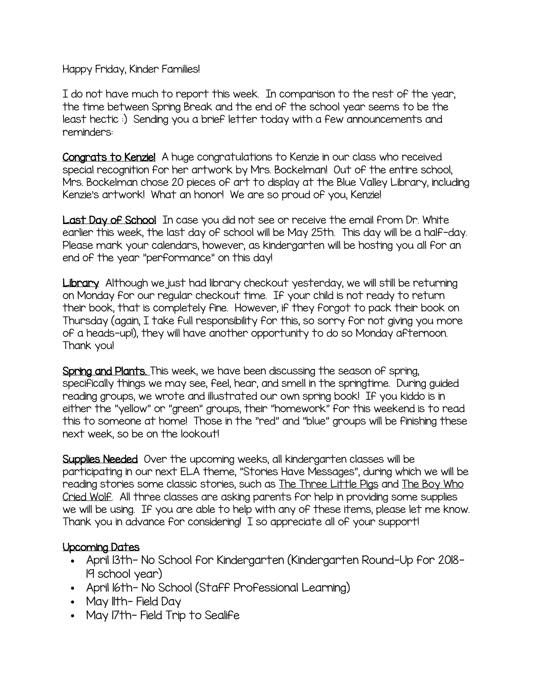Happy Friday, Kinder Families!

I do not have much to report this week. In comparison to the rest of the year, the time between Spring Break and the end of the school year seems to be the least hectic :) Sending you a brief letter today with a few announcements and reminders:

Congrats to Kenzie! A huge congratulations to Kenzie in our class who received special recognition for her artwork by Mrs. Bockelman! Out of the entire school, Mrs. Bockelman chose 20 pieces of art to display at the Blue Valley Library, including Kenzie's artwork! What an honor! We are so proud of you, Kenzie!

Last Day of School In case you did not see or receive the email from Dr. White earlier this week, the last day of school will be May 25th. This day will be a half-day. Please mark your calendars, however, as kindergarten will be hosting you all for an end of the year "performance" on this day!

Library Although we just had library checkout yesterday, we will still be returning on Monday for our regular checkout time. If your child is not ready to return their book, that is completely fine. However, if they forgot to pack their book on Thursday (again, I take full responsibility for this, so sorry for not giving you more of a heads-up!), they will have another opportunity to do so Monday afternoon. Thank you!

Spring and Plants. This week, we have been discussing the season of spring, specifically things we may see, feel, hear, and smell in the springtime. During guided reading groups, we wrote and illustrated our own spring book! If you kiddo is in either the "yellow" or "green" groups, their "homework" for this weekend is to read this to someone at home! Those in the "red" and "blue" groups will be finishing these next week, so be on the lookout!

Supplies Needed Over the upcoming weeks, all kindergarten classes will be participating in our next ELA theme, "Stories Have Messages", during which we will be reading stories some classic stories, such as The Three Little Pigs and The Boy Who Cried Wolf. All three classes are asking parents for help in providing some supplies we will be using. If you are able to help with any of these items, please let me know. Thank you in advance for considering! I so appreciate all of your support!

## Upcoming Dates

- April 13th- No School for Kindergarten (Kindergarten Round-Up for 2018- 19 school year)
- April 16th- No School (Staff Professional Learning)
- May Ith-Field Day
- May 17th- Field Trip to Sealife